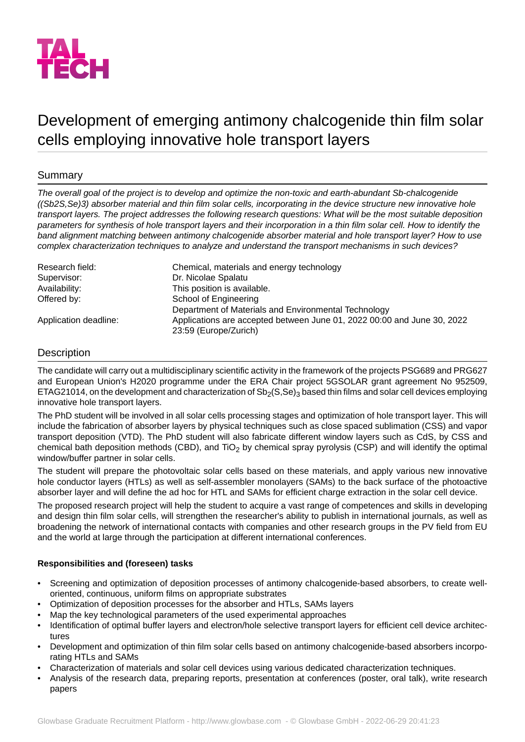

# Development of emerging antimony chalcogenide thin film solar cells employing innovative hole transport layers

# Summary

*The overall goal of the project is to develop and optimize the non-toxic and earth-abundant Sb-chalcogenide ((Sb2S,Se)3) absorber material and thin film solar cells, incorporating in the device structure new innovative hole transport layers. The project addresses the following research questions: What will be the most suitable deposition parameters for synthesis of hole transport layers and their incorporation in a thin film solar cell. How to identify the band alignment matching between antimony chalcogenide absorber material and hole transport layer? How to use complex characterization techniques to analyze and understand the transport mechanisms in such devices?*

| Research field:       | Chemical, materials and energy technology                                                        |
|-----------------------|--------------------------------------------------------------------------------------------------|
| Supervisor:           | Dr. Nicolae Spalatu                                                                              |
| Availability:         | This position is available.                                                                      |
| Offered by:           | School of Engineering                                                                            |
|                       | Department of Materials and Environmental Technology                                             |
| Application deadline: | Applications are accepted between June 01, 2022 00:00 and June 30, 2022<br>23:59 (Europe/Zurich) |

## **Description**

The candidate will carry out a multidisciplinary scientific activity in the framework of the projects PSG689 and PRG627 and European Union's H2020 programme under the ERA Chair project 5GSOLAR grant agreement No 952509, ETAG21014, on the development and characterization of  $Sb<sub>2</sub>(S,Se)<sub>3</sub>$  based thin films and solar cell devices employing innovative hole transport layers.

The PhD student will be involved in all solar cells processing stages and optimization of hole transport layer. This will include the fabrication of absorber layers by physical techniques such as close spaced sublimation (CSS) and vapor transport deposition (VTD). The PhD student will also fabricate different window layers such as CdS, by CSS and chemical bath deposition methods (CBD), and  $TiO<sub>2</sub>$  by chemical spray pyrolysis (CSP) and will identify the optimal window/buffer partner in solar cells.

The student will prepare the photovoltaic solar cells based on these materials, and apply various new innovative hole conductor layers (HTLs) as well as self-assembler monolayers (SAMs) to the back surface of the photoactive absorber layer and will define the ad hoc for HTL and SAMs for efficient charge extraction in the solar cell device.

The proposed research project will help the student to acquire a vast range of competences and skills in developing and design thin film solar cells, will strengthen the researcher's ability to publish in international journals, as well as broadening the network of international contacts with companies and other research groups in the PV field from EU and the world at large through the participation at different international conferences.

## **Responsibilities and (foreseen) tasks**

- Screening and optimization of deposition processes of antimony chalcogenide-based absorbers, to create welloriented, continuous, uniform films on appropriate substrates
- Optimization of deposition processes for the absorber and HTLs, SAMs layers
- Map the key technological parameters of the used experimental approaches
- Identification of optimal buffer layers and electron/hole selective transport layers for efficient cell device architectures
- Development and optimization of thin film solar cells based on antimony chalcogenide-based absorbers incorporating HTLs and SAMs
- Characterization of materials and solar cell devices using various dedicated characterization techniques.
- Analysis of the research data, preparing reports, presentation at conferences (poster, oral talk), write research papers